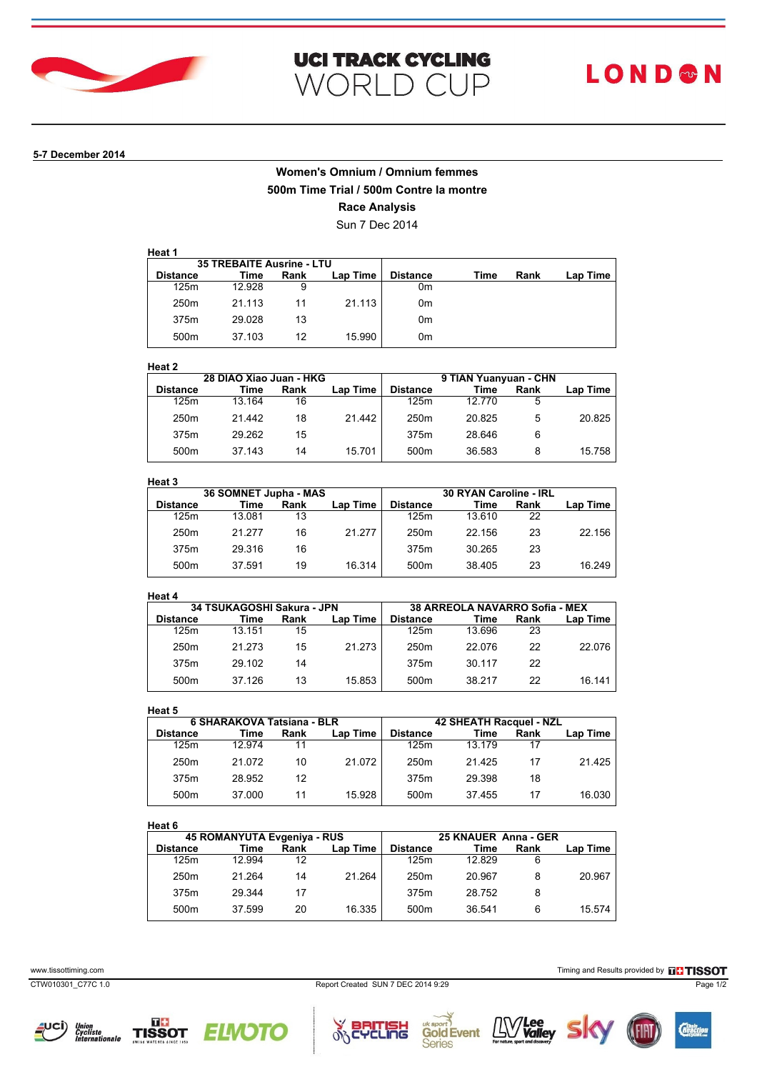

### **5-7 December 2014**

# **Women's Omnium / Omnium femmes 500m Time Trial / 500m Contre la montre Race Analysis**

Sun 7 Dec 2014

|                  | <b>35 TREBAITE Ausrine - LTU</b> |      |          |                 |      |      |          |
|------------------|----------------------------------|------|----------|-----------------|------|------|----------|
| <b>Distance</b>  | Time                             | Rank | Lap Time | <b>Distance</b> | Time | Rank | Lap Time |
| 125m             | 12.928                           | 9    |          | 0m              |      |      |          |
| 250 <sub>m</sub> | 21.113                           | 11   | 21.113   | 0m              |      |      |          |
| 375m             | 29.028                           | 13   |          | 0m              |      |      |          |
| 500 <sub>m</sub> | 37.103                           | 12   | 15.990   | 0m              |      |      |          |

### **Heat 2**

| .                |                         |      |                 |                       |        |      |          |
|------------------|-------------------------|------|-----------------|-----------------------|--------|------|----------|
|                  | 28 DIAO Xiao Juan - HKG |      |                 | 9 TIAN Yuanyuan - CHN |        |      |          |
| <b>Distance</b>  | Time                    | Rank | <b>Lap Time</b> | <b>Distance</b>       | Time   | Rank | Lap Time |
| 125m             | 13.164                  | 16   |                 | 125m                  | 12 770 | 5    |          |
| 250 <sub>m</sub> | 21 442                  | 18   | 21.442          | 250 <sub>m</sub>      | 20825  | 5    | 20.825   |
| 375m             | 29.262                  | 15   |                 | 375m                  | 28.646 | 6    |          |
| 500 <sub>m</sub> | 37.143                  | 14   | 15.701          | 500 <sub>m</sub>      | 36.583 | 8    | 15.758   |

# **Heat 3**

|        |      |                 | 30 RYAN Caroline - IRL |        |      |          |
|--------|------|-----------------|------------------------|--------|------|----------|
| Time   | Rank | <b>Lap Time</b> | Distance               | Time   | Rank | Lap Time |
| 13.081 | 13   |                 | 125m                   | 13.610 | 22   |          |
| 21 277 | 16   | 21.277          | 250 <sub>m</sub>       | 22 156 | 23   | 22.156   |
| 29.316 | 16   |                 | 375m                   | 30.265 | 23   |          |
| 37.591 | 19   | 16.314          | 500 <sub>m</sub>       | 38.405 | 23   | 16.249   |
|        |      |                 | 36 SOMNET Jupha - MAS  |        |      |          |

## **Heat 4**

| .                |                            |      |          |                  |                                |      |          |
|------------------|----------------------------|------|----------|------------------|--------------------------------|------|----------|
|                  | 34 TSUKAGOSHI Sakura - JPN |      |          |                  | 38 ARREOLA NAVARRO Sofia - MEX |      |          |
| <b>Distance</b>  | Time                       | Rank | Lap Time | <b>Distance</b>  | Time                           | Rank | Lap Time |
| 125m             | 13 151                     | 15   |          | 125m             | 13.696                         | 23   |          |
| 250 <sub>m</sub> | 21 273                     | 15   | 21.273   | 250 <sub>m</sub> | 22.076                         | 22   | 22.076   |
| 375m             | 29 102                     | 14   |          | 375m             | 30 117                         | 22   |          |
| 500 <sub>m</sub> | 37 126                     | 13   | 15.853   | 500 <sub>m</sub> | 38 217                         | 22   | 16 141   |
|                  |                            |      |          |                  |                                |      |          |

### **Heat 5**

|                  | 6 SHARAKOVA Tatsiana - BLR |      |                 | 42 SHEATH Racquel - NZL |        |      |          |
|------------------|----------------------------|------|-----------------|-------------------------|--------|------|----------|
| <b>Distance</b>  | Time                       | Rank | <b>Lap Time</b> | <b>Distance</b>         | Time   | Rank | Lap Time |
| 125m             | 12 974                     | 11   |                 | 125m                    | 13 179 | 17   |          |
| 250 <sub>m</sub> | 21 072                     | 10   | 21.072          | 250 <sub>m</sub>        | 21 425 | 17   | 21.425   |
| 375m             | 28.952                     | 12   |                 | 375m                    | 29.398 | 18   |          |
| 500 <sub>m</sub> | 37.000                     | 11   | 15.928          | 500 <sub>m</sub>        | 37455  | 17   | 16.030   |

## **Heat 6**

| neal o           |                             |      |                 |                      |        |      |          |
|------------------|-----------------------------|------|-----------------|----------------------|--------|------|----------|
|                  | 45 ROMANYUTA Evgeniya - RUS |      |                 | 25 KNAUER Anna - GER |        |      |          |
| <b>Distance</b>  | Time                        | Rank | <b>Lap Time</b> | <b>Distance</b>      | Time   | Rank | Lap Time |
| 125m             | 12.994                      | 12   |                 | 125m                 | 12829  | 6    |          |
| 250 <sub>m</sub> | 21 264                      | 14   | 21.264          | 250 <sub>m</sub>     | 20.967 |      | 20.967   |
| 375m             | 29.344                      | 17   |                 | 375m                 | 28.752 |      |          |
| 500 <sub>m</sub> | 37.599                      | 20   | 16.335          | 500 <sub>m</sub>     | 36 541 | 6    | 15.574   |
|                  |                             |      |                 |                      |        |      |          |

٦Ġ

**Series** 







 $\delta$